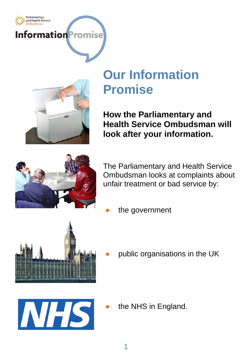



## **Our Information Promise**

**How the Parliamentary and Health Service Ombudsman will look after your information.**



The Parliamentary and Health Service Ombudsman looks at complaints about unfair treatment or bad service by:

the government



public organisations in the UK



the NHS in England.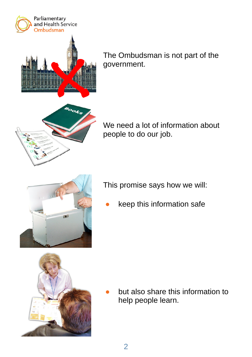

The Ombudsman is not part of the government.



We need a lot of information about people to do our job.

This promise says how we will:

 ● keep this information safe



 ● but also share this information to help people learn.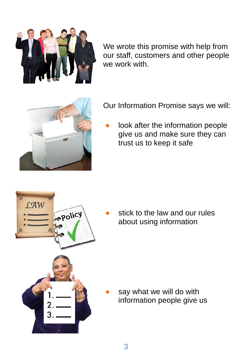

We wrote this promise with help from our staff, customers and other people we work with.



Our Information Promise says we will:

look after the information people give us and make sure they can trust us to keep it safe



stick to the law and our rules about using information

say what we will do with information people give us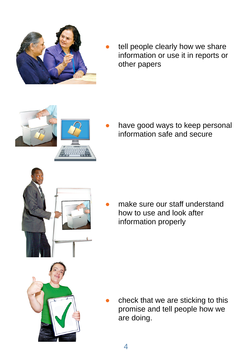

tell people clearly how we share information or use it in reports or other papers



have good ways to keep personal information safe and secure



make sure our staff understand how to use and look after information properly

check that we are sticking to this promise and tell people how we are doing.